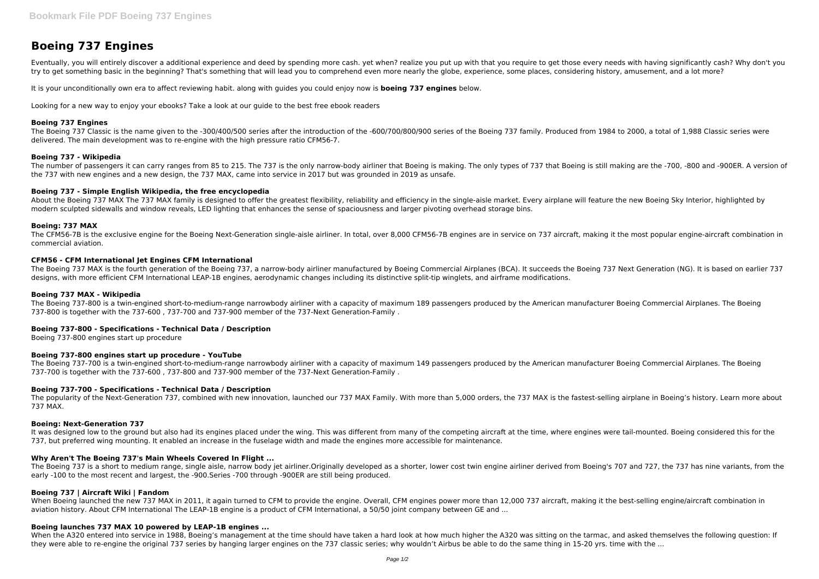# **Boeing 737 Engines**

Eventually, you will entirely discover a additional experience and deed by spending more cash. yet when? realize you put up with that you require to get those every needs with having significantly cash? Why don't you try to get something basic in the beginning? That's something that will lead you to comprehend even more nearly the globe, experience, some places, considering history, amusement, and a lot more?

The Boeing 737 Classic is the name given to the -300/400/500 series after the introduction of the -600/700/800/900 series of the Boeing 737 family. Produced from 1984 to 2000, a total of 1,988 Classic series were delivered. The main development was to re-engine with the high pressure ratio CFM56-7.

It is your unconditionally own era to affect reviewing habit. along with guides you could enjoy now is **boeing 737 engines** below.

Looking for a new way to enjoy your ebooks? Take a look at our guide to the best free ebook readers

#### **Boeing 737 Engines**

About the Boeing 737 MAX The 737 MAX family is designed to offer the greatest flexibility, reliability and efficiency in the single-aisle market. Every airplane will feature the new Boeing Sky Interior, highlighted by modern sculpted sidewalls and window reveals, LED lighting that enhances the sense of spaciousness and larger pivoting overhead storage bins.

#### **Boeing 737 - Wikipedia**

The number of passengers it can carry ranges from 85 to 215. The 737 is the only narrow-body airliner that Boeing is making. The only types of 737 that Boeing is still making are the -700, -800 and -900ER. A version of the 737 with new engines and a new design, the 737 MAX, came into service in 2017 but was grounded in 2019 as unsafe.

#### **Boeing 737 - Simple English Wikipedia, the free encyclopedia**

The popularity of the Next-Generation 737, combined with new innovation, launched our 737 MAX Family. With more than 5,000 orders, the 737 MAX is the fastest-selling airplane in Boeing's history. Learn more about 737 MAX.

#### **Boeing: 737 MAX**

The CFM56-7B is the exclusive engine for the Boeing Next-Generation single-aisle airliner. In total, over 8,000 CFM56-7B engines are in service on 737 aircraft, making it the most popular engine-aircraft combination in commercial aviation.

It was designed low to the ground but also had its engines placed under the wing. This was different from many of the competing aircraft at the time, where engines were tail-mounted. Boeing considered this for the 737, but preferred wing mounting. It enabled an increase in the fuselage width and made the engines more accessible for maintenance.

#### **CFM56 - CFM International Jet Engines CFM International**

The Boeing 737 MAX is the fourth generation of the Boeing 737, a narrow-body airliner manufactured by Boeing Commercial Airplanes (BCA). It succeeds the Boeing 737 Next Generation (NG). It is based on earlier 737 designs, with more efficient CFM International LEAP-1B engines, aerodynamic changes including its distinctive split-tip winglets, and airframe modifications.

When Boeing launched the new 737 MAX in 2011, it again turned to CFM to provide the engine. Overall, CFM engines power more than 12,000 737 aircraft, making it the best-selling engine/aircraft combination in aviation history. About CFM International The LEAP-1B engine is a product of CFM International, a 50/50 joint company between GE and ...

# **Boeing 737 MAX - Wikipedia**

When the A320 entered into service in 1988, Boeing's management at the time should have taken a hard look at how much higher the A320 was sitting on the tarmac, and asked themselves the following question: If they were able to re-engine the original 737 series by hanging larger engines on the 737 classic series; why wouldn't Airbus be able to do the same thing in 15-20 yrs. time with the ...

The Boeing 737-800 is a twin-engined short-to-medium-range narrowbody airliner with a capacity of maximum 189 passengers produced by the American manufacturer Boeing Commercial Airplanes. The Boeing 737-800 is together with the 737-600 , 737-700 and 737-900 member of the 737-Next Generation-Family .

# **Boeing 737-800 - Specifications - Technical Data / Description**

Boeing 737-800 engines start up procedure

# **Boeing 737-800 engines start up procedure - YouTube**

The Boeing 737-700 is a twin-engined short-to-medium-range narrowbody airliner with a capacity of maximum 149 passengers produced by the American manufacturer Boeing Commercial Airplanes. The Boeing 737-700 is together with the 737-600 , 737-800 and 737-900 member of the 737-Next Generation-Family .

# **Boeing 737-700 - Specifications - Technical Data / Description**

# **Boeing: Next-Generation 737**

# **Why Aren't The Boeing 737's Main Wheels Covered In Flight ...**

The Boeing 737 is a short to medium range, single aisle, narrow body jet airliner.Originally developed as a shorter, lower cost twin engine airliner derived from Boeing's 707 and 727, the 737 has nine variants, from the early -100 to the most recent and largest, the -900.Series -700 through -900ER are still being produced.

# **Boeing 737 | Aircraft Wiki | Fandom**

# **Boeing launches 737 MAX 10 powered by LEAP-1B engines ...**